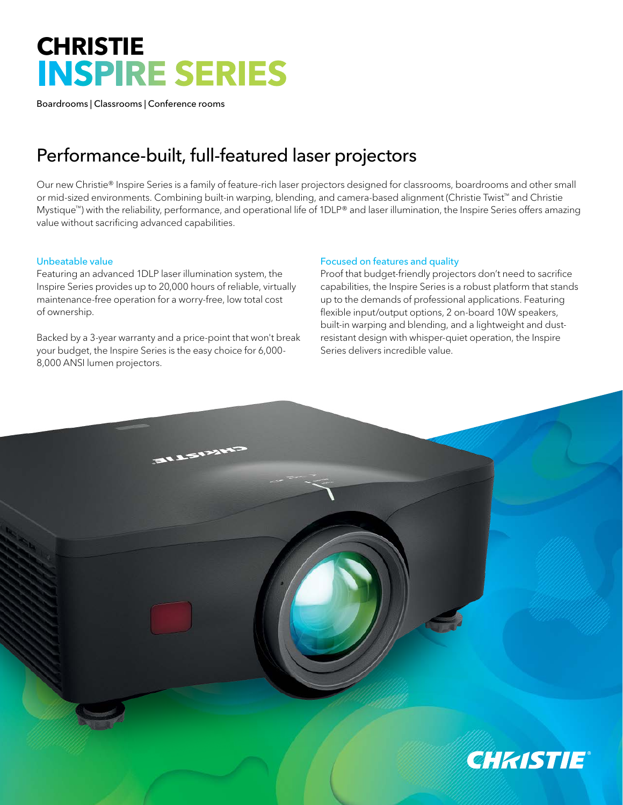# **CHRISTIE INSPIRE SERIES**

Boardrooms | Classrooms | Conference rooms

# Performance-built, full-featured laser projectors

Our new Christie® Inspire Series is a family of feature-rich laser projectors designed for classrooms, boardrooms and other small or mid-sized environments. Combining built-in warping, blending, and camera-based alignment (Christie Twist™ and Christie Mystique™) with the reliability, performance, and operational life of 1DLP® and laser illumination, the Inspire Series offers amazing value without sacrificing advanced capabilities.

## Unbeatable value

Featuring an advanced 1DLP laser illumination system, the Inspire Series provides up to 20,000 hours of reliable, virtually maintenance-free operation for a worry-free, low total cost of ownership.

Backed by a 3-year warranty and a price-point that won't break your budget, the Inspire Series is the easy choice for 6,000- 8,000 ANSI lumen projectors.

**BLASHAN** 

### Focused on features and quality

Proof that budget-friendly projectors don't need to sacrifice capabilities, the Inspire Series is a robust platform that stands up to the demands of professional applications. Featuring flexible input/output options, 2 on-board 10W speakers, built-in warping and blending, and a lightweight and dustresistant design with whisper-quiet operation, the Inspire Series delivers incredible value.